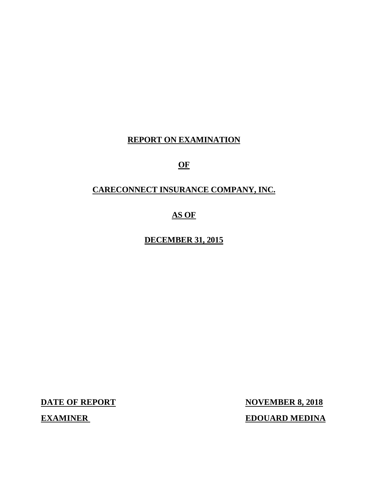# **REPORT ON EXAMINATION**

# **OF**

# **CARECONNECT INSURANCE COMPANY, INC.**

# **AS OF**

# **DECEMBER 31, 2015**

**DATE OF REPORT NOVEMBER 8, 2018 EXAMINER EDOUARD MEDINA**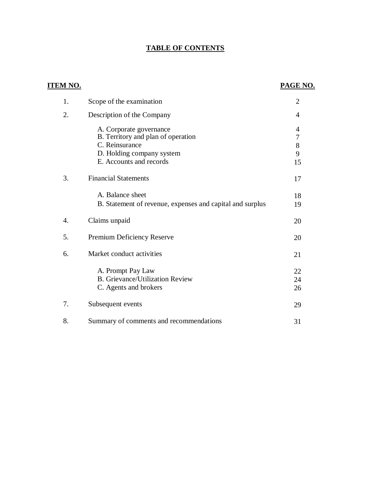# **TABLE OF CONTENTS**

| <u>ITEM NO.</u> |                                                                                      | <b>PAGE NO.</b>            |
|-----------------|--------------------------------------------------------------------------------------|----------------------------|
| 1.              | Scope of the examination                                                             | $\overline{2}$             |
| 2.              | Description of the Company                                                           | $\overline{4}$             |
|                 | A. Corporate governance<br>B. Territory and plan of operation<br>C. Reinsurance      | 4<br>$\boldsymbol{7}$<br>8 |
|                 | D. Holding company system<br>E. Accounts and records                                 | 9<br>15                    |
| 3.              | <b>Financial Statements</b>                                                          | 17                         |
|                 | A. Balance sheet<br>B. Statement of revenue, expenses and capital and surplus        | 18<br>19                   |
| 4.              | Claims unpaid                                                                        | 20                         |
| 5.              | Premium Deficiency Reserve                                                           | 20                         |
| 6.              | Market conduct activities                                                            | 21                         |
|                 | A. Prompt Pay Law<br><b>B.</b> Grievance/Utilization Review<br>C. Agents and brokers | 22<br>24<br>26             |
| 7.              | Subsequent events                                                                    | 29                         |
| 8.              | Summary of comments and recommendations                                              | 31                         |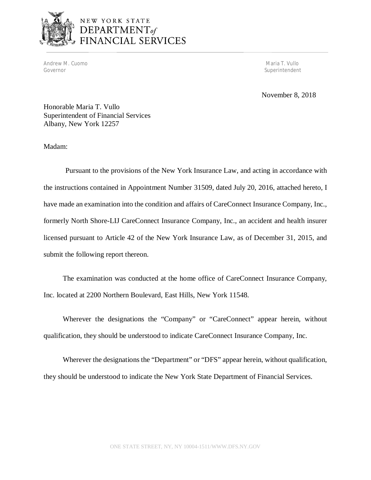

Andrew M. Cuomo **Maria T. Vullo** Andrew M. Cuomo **Maria T. Vullo** Andrew M. Cuomo **Maria T. Vullo** Andrew M. Cuomo **Maria T. Vullo** Governor Superintendent Superintendent Superintendent Superintendent Superintendent Superintendent Superintendent Superintendent Superintendent Superintendent Superintendent Superintendent Superintendent Superintendent Sup

November 8, 2018

Honorable Maria T. Vullo Superintendent of Financial Services Albany, New York 12257

Madam:

Pursuant to the provisions of the New York Insurance Law, and acting in accordance with the instructions contained in Appointment Number 31509, dated July 20, 2016, attached hereto, I have made an examination into the condition and affairs of CareConnect Insurance Company, Inc., formerly North Shore-LIJ CareConnect Insurance Company, Inc., an accident and health insurer licensed pursuant to Article 42 of the New York Insurance Law, as of December 31, 2015, and submit the following report thereon.

The examination was conducted at the home office of CareConnect Insurance Company, Inc. located at 2200 Northern Boulevard, East Hills, New York 11548.

Wherever the designations the "Company" or "CareConnect" appear herein, without qualification, they should be understood to indicate CareConnect Insurance Company, Inc.

Wherever the designations the "Department" or "DFS" appear herein, without qualification, they should be understood to indicate the New York State Department of Financial Services.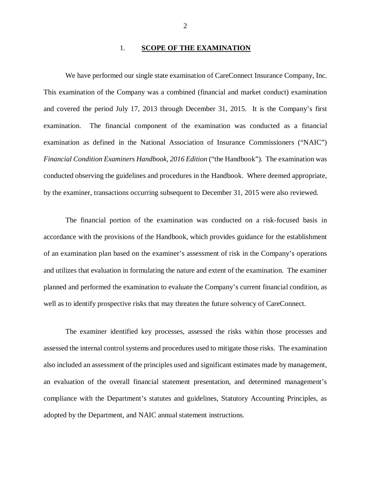#### 1. **SCOPE OF THE EXAMINATION**

We have performed our single state examination of CareConnect Insurance Company, Inc. This examination of the Company was a combined (financial and market conduct) examination and covered the period July 17, 2013 through December 31, 2015. It is the Company's first examination. The financial component of the examination was conducted as a financial examination as defined in the National Association of Insurance Commissioners ("NAIC") *Financial Condition Examiners Handbook, 2016 Edition* ("the Handbook"). The examination was conducted observing the guidelines and procedures in the Handbook. Where deemed appropriate, by the examiner, transactions occurring subsequent to December 31, 2015 were also reviewed.

The financial portion of the examination was conducted on a risk-focused basis in accordance with the provisions of the Handbook, which provides guidance for the establishment of an examination plan based on the examiner's assessment of risk in the Company's operations and utilizes that evaluation in formulating the nature and extent of the examination. The examiner planned and performed the examination to evaluate the Company's current financial condition, as well as to identify prospective risks that may threaten the future solvency of CareConnect.

The examiner identified key processes, assessed the risks within those processes and assessed the internal control systems and procedures used to mitigate those risks. The examination also included an assessment of the principles used and significant estimates made by management, an evaluation of the overall financial statement presentation, and determined management's compliance with the Department's statutes and guidelines, Statutory Accounting Principles, as adopted by the Department, and NAIC annual statement instructions.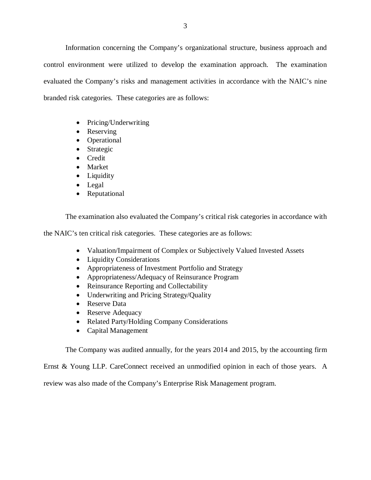Information concerning the Company's organizational structure, business approach and control environment were utilized to develop the examination approach. The examination evaluated the Company's risks and management activities in accordance with the NAIC's nine branded risk categories. These categories are as follows:

- Pricing/Underwriting
- Reserving
- Operational
- Strategic
- Credit
- Market
- Liquidity
- Legal
- Reputational

The examination also evaluated the Company's critical risk categories in accordance with

the NAIC's ten critical risk categories. These categories are as follows:

- Valuation/Impairment of Complex or Subjectively Valued Invested Assets
- Liquidity Considerations
- Appropriateness of Investment Portfolio and Strategy
- Appropriateness/Adequacy of Reinsurance Program
- Reinsurance Reporting and Collectability
- Underwriting and Pricing Strategy/Quality
- Reserve Data
- Reserve Adequacy
- Related Party/Holding Company Considerations
- Capital Management

The Company was audited annually, for the years 2014 and 2015, by the accounting firm

Ernst & Young LLP. CareConnect received an unmodified opinion in each of those years. A

review was also made of the Company's Enterprise Risk Management program.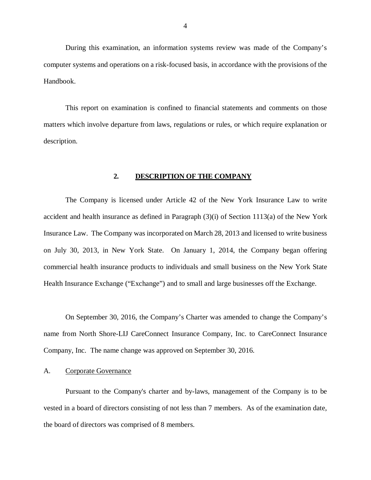During this examination, an information systems review was made of the Company's computer systems and operations on a risk-focused basis, in accordance with the provisions of the Handbook.

This report on examination is confined to financial statements and comments on those matters which involve departure from laws, regulations or rules, or which require explanation or description.

#### **2. DESCRIPTION OF THE COMPANY**

The Company is licensed under Article 42 of the New York Insurance Law to write accident and health insurance as defined in Paragraph (3)(i) of Section 1113(a) of the New York Insurance Law. The Company was incorporated on March 28, 2013 and licensed to write business on July 30, 2013, in New York State. On January 1, 2014, the Company began offering commercial health insurance products to individuals and small business on the New York State Health Insurance Exchange ("Exchange") and to small and large businesses off the Exchange.

On September 30, 2016, the Company's Charter was amended to change the Company's name from North Shore-LIJ CareConnect Insurance Company, Inc. to CareConnect Insurance Company, Inc. The name change was approved on September 30, 2016.

## A. Corporate Governance

Pursuant to the Company's charter and by-laws, management of the Company is to be vested in a board of directors consisting of not less than 7 members. As of the examination date, the board of directors was comprised of 8 members.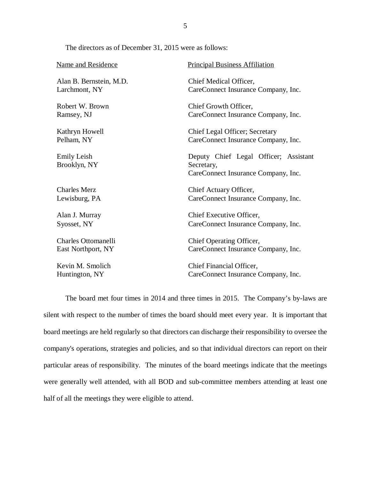The directors as of December 31, 2015 were as follows:

| Name and Residence                 | <b>Principal Business Affiliation</b>                                                      |  |  |
|------------------------------------|--------------------------------------------------------------------------------------------|--|--|
| Alan B. Bernstein, M.D.            | Chief Medical Officer,                                                                     |  |  |
| Larchmont, NY                      | CareConnect Insurance Company, Inc.                                                        |  |  |
| Robert W. Brown                    | Chief Growth Officer,                                                                      |  |  |
| Ramsey, NJ                         | CareConnect Insurance Company, Inc.                                                        |  |  |
| Kathryn Howell                     | Chief Legal Officer; Secretary                                                             |  |  |
| Pelham, NY                         | CareConnect Insurance Company, Inc.                                                        |  |  |
| <b>Emily Leish</b><br>Brooklyn, NY | Deputy Chief Legal Officer; Assistant<br>Secretary,<br>CareConnect Insurance Company, Inc. |  |  |
| <b>Charles Merz</b>                | Chief Actuary Officer,                                                                     |  |  |
| Lewisburg, PA                      | CareConnect Insurance Company, Inc.                                                        |  |  |
| Alan J. Murray                     | Chief Executive Officer,                                                                   |  |  |
| Syosset, NY                        | CareConnect Insurance Company, Inc.                                                        |  |  |
| <b>Charles Ottomanelli</b>         | Chief Operating Officer,                                                                   |  |  |
| East Northport, NY                 | CareConnect Insurance Company, Inc.                                                        |  |  |
| Kevin M. Smolich                   | Chief Financial Officer,                                                                   |  |  |
| Huntington, NY                     | CareConnect Insurance Company, Inc.                                                        |  |  |

The board met four times in 2014 and three times in 2015. The Company's by-laws are silent with respect to the number of times the board should meet every year. It is important that board meetings are held regularly so that directors can discharge their responsibility to oversee the company's operations, strategies and policies, and so that individual directors can report on their particular areas of responsibility. The minutes of the board meetings indicate that the meetings were generally well attended, with all BOD and sub-committee members attending at least one half of all the meetings they were eligible to attend.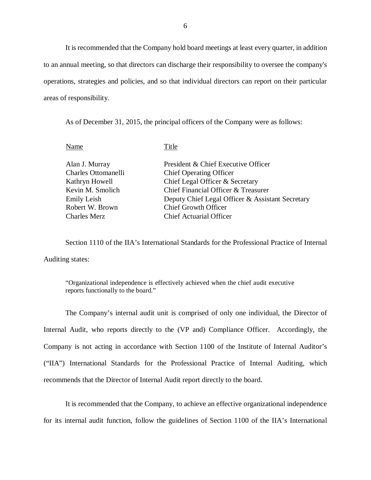It is recommended that the Company hold board meetings at least every quarter, in addition to an annual meeting, so that directors can discharge their responsibility to oversee the company's operations, strategies and policies, and so that individual directors can report on their particular areas of responsibility.

As of December 31, 2015, the principal officers of the Company were as follows:

Name Title

| Alan J. Murray      | President & Chief Executive Officer              |
|---------------------|--------------------------------------------------|
| Charles Ottomanelli | <b>Chief Operating Officer</b>                   |
| Kathryn Howell      | Chief Legal Officer & Secretary                  |
| Kevin M. Smolich    | Chief Financial Officer & Treasurer              |
| Emily Leish         | Deputy Chief Legal Officer & Assistant Secretary |
| Robert W. Brown     | <b>Chief Growth Officer</b>                      |
| Charles Merz        | <b>Chief Actuarial Officer</b>                   |
|                     |                                                  |

Section 1110 of the IIA's International Standards for the Professional Practice of Internal Auditing states:

"Organizational independence is effectively achieved when the chief audit executive reports functionally to the board."

The Company's internal audit unit is comprised of only one individual, the Director of Internal Audit, who reports directly to the (VP and) Compliance Officer. Accordingly, the Company is not acting in accordance with Section 1100 of the Institute of Internal Auditor's ("IIA") International Standards for the Professional Practice of Internal Auditing, which recommends that the Director of Internal Audit report directly to the board.

It is recommended that the Company, to achieve an effective organizational independence for its internal audit function, follow the guidelines of Section 1100 of the IIA's International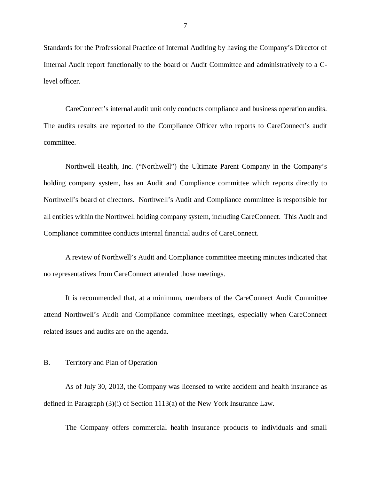Standards for the Professional Practice of Internal Auditing by having the Company's Director of Internal Audit report functionally to the board or Audit Committee and administratively to a Clevel officer.

CareConnect's internal audit unit only conducts compliance and business operation audits. The audits results are reported to the Compliance Officer who reports to CareConnect's audit committee.

Northwell Health, Inc. ("Northwell") the Ultimate Parent Company in the Company's holding company system, has an Audit and Compliance committee which reports directly to Northwell's board of directors. Northwell's Audit and Compliance committee is responsible for all entities within the Northwell holding company system, including CareConnect. This Audit and Compliance committee conducts internal financial audits of CareConnect.

A review of Northwell's Audit and Compliance committee meeting minutes indicated that no representatives from CareConnect attended those meetings.

It is recommended that, at a minimum, members of the CareConnect Audit Committee attend Northwell's Audit and Compliance committee meetings, especially when CareConnect related issues and audits are on the agenda.

#### B. Territory and Plan of Operation

As of July 30, 2013, the Company was licensed to write accident and health insurance as defined in Paragraph (3)(i) of Section 1113(a) of the New York Insurance Law.

The Company offers commercial health insurance products to individuals and small

7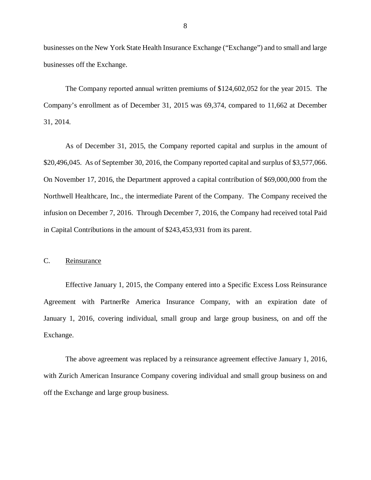businesses on the New York State Health Insurance Exchange ("Exchange") and to small and large businesses off the Exchange.

The Company reported annual written premiums of \$124,602,052 for the year 2015. The Company's enrollment as of December 31, 2015 was 69,374, compared to 11,662 at December 31, 2014.

As of December 31, 2015, the Company reported capital and surplus in the amount of \$20,496,045. As of September 30, 2016, the Company reported capital and surplus of \$3,577,066. On November 17, 2016, the Department approved a capital contribution of \$69,000,000 from the Northwell Healthcare, Inc., the intermediate Parent of the Company. The Company received the infusion on December 7, 2016. Through December 7, 2016, the Company had received total Paid in Capital Contributions in the amount of \$243,453,931 from its parent.

### C. Reinsurance

Effective January 1, 2015, the Company entered into a Specific Excess Loss Reinsurance Agreement with PartnerRe America Insurance Company, with an expiration date of January 1, 2016, covering individual, small group and large group business, on and off the Exchange.

The above agreement was replaced by a reinsurance agreement effective January 1, 2016, with Zurich American Insurance Company covering individual and small group business on and off the Exchange and large group business.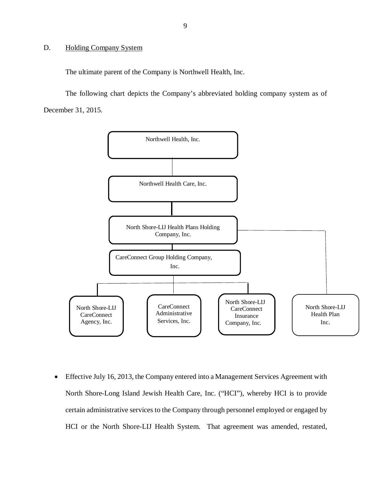## D. Holding Company System

The ultimate parent of the Company is Northwell Health, Inc.

The following chart depicts the Company's abbreviated holding company system as of December 31, 2015.



 Effective July 16, 2013, the Company entered into a Management Services Agreement with North Shore-Long Island Jewish Health Care, Inc. ("HCI"), whereby HCI is to provide certain administrative services to the Company through personnel employed or engaged by HCI or the North Shore-LIJ Health System. That agreement was amended, restated,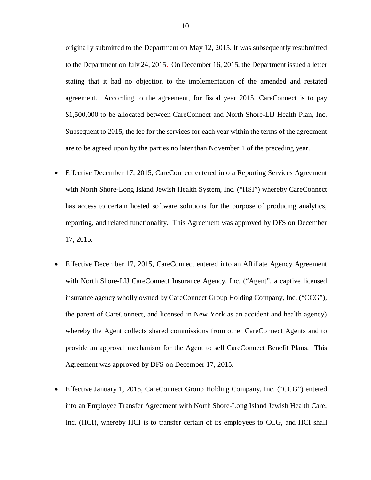originally submitted to the Department on May 12, 2015. It was subsequently resubmitted to the Department on July 24, 2015. On December 16, 2015, the Department issued a letter stating that it had no objection to the implementation of the amended and restated agreement. According to the agreement, for fiscal year 2015, CareConnect is to pay \$1,500,000 to be allocated between CareConnect and North Shore-LIJ Health Plan, Inc. Subsequent to 2015, the fee for the services for each year within the terms of the agreement are to be agreed upon by the parties no later than November 1 of the preceding year.

- Effective December 17, 2015, CareConnect entered into a Reporting Services Agreement with North Shore-Long Island Jewish Health System, Inc. ("HSI") whereby CareConnect has access to certain hosted software solutions for the purpose of producing analytics, reporting, and related functionality. This Agreement was approved by DFS on December 17, 2015.
- Effective December 17, 2015, CareConnect entered into an Affiliate Agency Agreement with North Shore-LIJ CareConnect Insurance Agency, Inc. ("Agent", a captive licensed insurance agency wholly owned by CareConnect Group Holding Company, Inc. ("CCG"), the parent of CareConnect, and licensed in New York as an accident and health agency) whereby the Agent collects shared commissions from other CareConnect Agents and to provide an approval mechanism for the Agent to sell CareConnect Benefit Plans. This Agreement was approved by DFS on December 17, 2015.
- Effective January 1, 2015, CareConnect Group Holding Company, Inc. ("CCG") entered into an Employee Transfer Agreement with North Shore-Long Island Jewish Health Care, Inc. (HCI), whereby HCI is to transfer certain of its employees to CCG, and HCI shall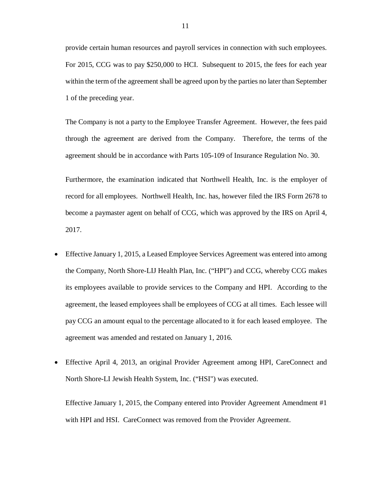provide certain human resources and payroll services in connection with such employees. For 2015, CCG was to pay \$250,000 to HCI. Subsequent to 2015, the fees for each year within the term of the agreement shall be agreed upon by the parties no later than September 1 of the preceding year.

The Company is not a party to the Employee Transfer Agreement. However, the fees paid through the agreement are derived from the Company. Therefore, the terms of the agreement should be in accordance with Parts 105-109 of Insurance Regulation No. 30.

Furthermore, the examination indicated that Northwell Health, Inc. is the employer of record for all employees. Northwell Health, Inc. has, however filed the IRS Form 2678 to become a paymaster agent on behalf of CCG, which was approved by the IRS on April 4, 2017.

- Effective January 1, 2015, a Leased Employee Services Agreement was entered into among the Company, North Shore-LIJ Health Plan, Inc. ("HPI") and CCG, whereby CCG makes its employees available to provide services to the Company and HPI. According to the agreement, the leased employees shall be employees of CCG at all times. Each lessee will pay CCG an amount equal to the percentage allocated to it for each leased employee. The agreement was amended and restated on January 1, 2016.
- Effective April 4, 2013, an original Provider Agreement among HPI, CareConnect and North Shore-LI Jewish Health System, Inc. ("HSI") was executed.

Effective January 1, 2015, the Company entered into Provider Agreement Amendment #1 with HPI and HSI. CareConnect was removed from the Provider Agreement.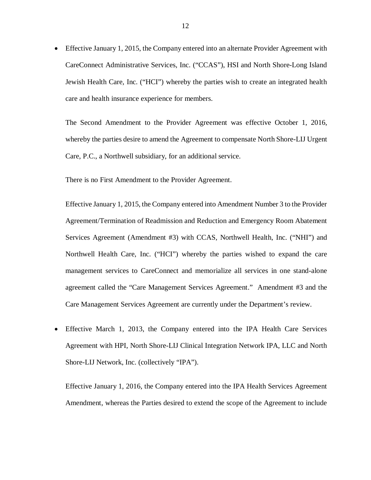Effective January 1, 2015, the Company entered into an alternate Provider Agreement with CareConnect Administrative Services, Inc. ("CCAS"), HSI and North Shore-Long Island Jewish Health Care, Inc. ("HCI") whereby the parties wish to create an integrated health care and health insurance experience for members.

The Second Amendment to the Provider Agreement was effective October 1, 2016, whereby the parties desire to amend the Agreement to compensate North Shore-LIJ Urgent Care, P.C., a Northwell subsidiary, for an additional service.

There is no First Amendment to the Provider Agreement.

Effective January 1, 2015, the Company entered into Amendment Number 3 to the Provider Agreement/Termination of Readmission and Reduction and Emergency Room Abatement Services Agreement (Amendment #3) with CCAS, Northwell Health, Inc. ("NHI") and Northwell Health Care, Inc. ("HCI") whereby the parties wished to expand the care management services to CareConnect and memorialize all services in one stand-alone agreement called the "Care Management Services Agreement." Amendment #3 and the Care Management Services Agreement are currently under the Department's review.

 Effective March 1, 2013, the Company entered into the IPA Health Care Services Agreement with HPI, North Shore-LIJ Clinical Integration Network IPA, LLC and North Shore-LIJ Network, Inc. (collectively "IPA").

Effective January 1, 2016, the Company entered into the IPA Health Services Agreement Amendment, whereas the Parties desired to extend the scope of the Agreement to include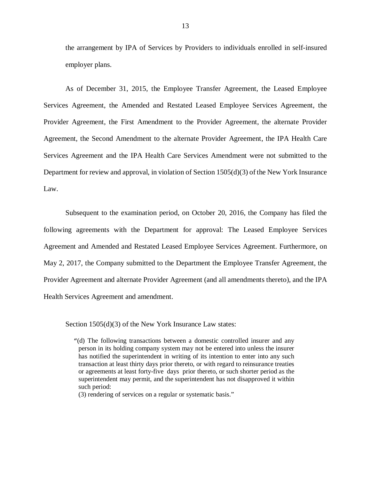the arrangement by IPA of Services by Providers to individuals enrolled in self-insured employer plans.

As of December 31, 2015, the Employee Transfer Agreement, the Leased Employee Services Agreement, the Amended and Restated Leased Employee Services Agreement, the Provider Agreement, the First Amendment to the Provider Agreement, the alternate Provider Agreement, the Second Amendment to the alternate Provider Agreement, the IPA Health Care Services Agreement and the IPA Health Care Services Amendment were not submitted to the Department for review and approval, in violation of Section 1505(d)(3) of the New York Insurance Law.

Subsequent to the examination period, on October 20, 2016, the Company has filed the following agreements with the Department for approval: The Leased Employee Services Agreement and Amended and Restated Leased Employee Services Agreement. Furthermore, on May 2, 2017, the Company submitted to the Department the Employee Transfer Agreement, the Provider Agreement and alternate Provider Agreement (and all amendments thereto), and the IPA Health Services Agreement and amendment.

Section 1505(d)(3) of the New York Insurance Law states:

"(d) The following transactions between a domestic controlled insurer and any person in its holding company system may not be entered into unless the insurer has notified the superintendent in writing of its intention to enter into any such transaction at least thirty days prior thereto, or with regard to reinsurance treaties or agreements at least forty-five days prior thereto, or such shorter period as the superintendent may permit, and the superintendent has not disapproved it within such period:

(3) rendering of services on a regular or systematic basis."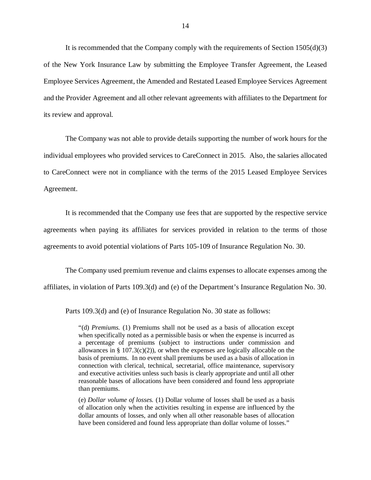It is recommended that the Company comply with the requirements of Section 1505(d)(3) of the New York Insurance Law by submitting the Employee Transfer Agreement, the Leased Employee Services Agreement, the Amended and Restated Leased Employee Services Agreement and the Provider Agreement and all other relevant agreements with affiliates to the Department for its review and approval.

The Company was not able to provide details supporting the number of work hours for the individual employees who provided services to CareConnect in 2015. Also, the salaries allocated to CareConnect were not in compliance with the terms of the 2015 Leased Employee Services Agreement.

It is recommended that the Company use fees that are supported by the respective service agreements when paying its affiliates for services provided in relation to the terms of those agreements to avoid potential violations of Parts 105-109 of Insurance Regulation No. 30.

The Company used premium revenue and claims expenses to allocate expenses among the affiliates, in violation of Parts 109.3(d) and (e) of the Department's Insurance Regulation No. 30.

Parts 109.3(d) and (e) of Insurance Regulation No. 30 state as follows:

"(d) *Premiums.* (1) Premiums shall not be used as a basis of allocation except when specifically noted as a permissible basis or when the expense is incurred as a percentage of premiums (subject to instructions under commission and allowances in § 107.3(c)(2)), or when the expenses are logically allocable on the basis of premiums. In no event shall premiums be used as a basis of allocation in connection with clerical, technical, secretarial, office maintenance, supervisory and executive activities unless such basis is clearly appropriate and until all other reasonable bases of allocations have been considered and found less appropriate than premiums.

(e) *Dollar volume of losses.* (1) Dollar volume of losses shall be used as a basis of allocation only when the activities resulting in expense are influenced by the dollar amounts of losses, and only when all other reasonable bases of allocation have been considered and found less appropriate than dollar volume of losses."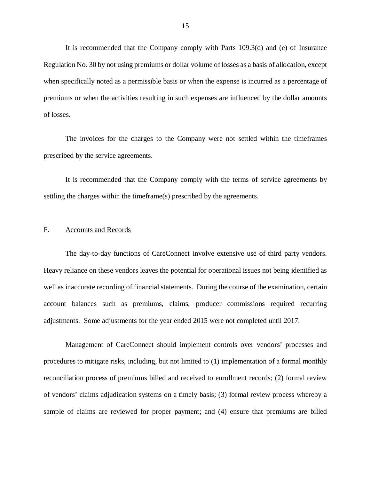It is recommended that the Company comply with Parts 109.3(d) and (e) of Insurance Regulation No. 30 by not using premiums or dollar volume of losses as a basis of allocation, except when specifically noted as a permissible basis or when the expense is incurred as a percentage of premiums or when the activities resulting in such expenses are influenced by the dollar amounts of losses.

The invoices for the charges to the Company were not settled within the timeframes prescribed by the service agreements.

It is recommended that the Company comply with the terms of service agreements by settling the charges within the timeframe(s) prescribed by the agreements.

#### F. Accounts and Records

The day-to-day functions of CareConnect involve extensive use of third party vendors. Heavy reliance on these vendors leaves the potential for operational issues not being identified as well as inaccurate recording of financial statements. During the course of the examination, certain account balances such as premiums, claims, producer commissions required recurring adjustments. Some adjustments for the year ended 2015 were not completed until 2017.

Management of CareConnect should implement controls over vendors' processes and procedures to mitigate risks, including, but not limited to (1) implementation of a formal monthly reconciliation process of premiums billed and received to enrollment records; (2) formal review of vendors' claims adjudication systems on a timely basis; (3) formal review process whereby a sample of claims are reviewed for proper payment; and (4) ensure that premiums are billed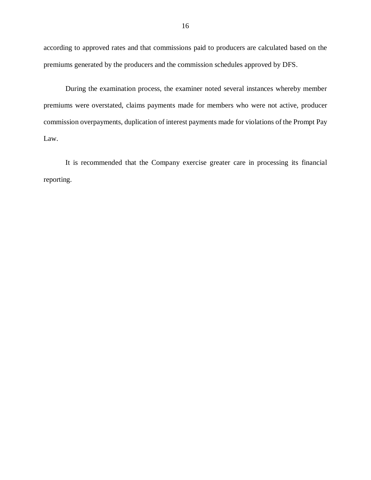according to approved rates and that commissions paid to producers are calculated based on the premiums generated by the producers and the commission schedules approved by DFS.

During the examination process, the examiner noted several instances whereby member premiums were overstated, claims payments made for members who were not active, producer commission overpayments, duplication of interest payments made for violations of the Prompt Pay Law.

It is recommended that the Company exercise greater care in processing its financial reporting.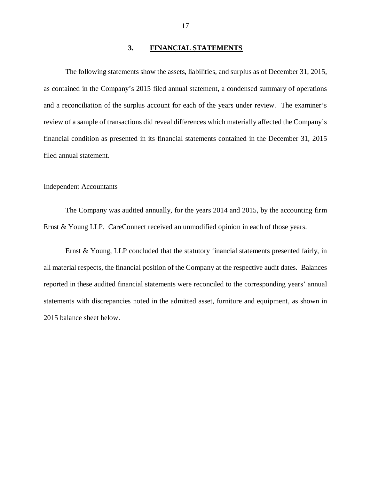#### **3. FINANCIAL STATEMENTS**

The following statements show the assets, liabilities, and surplus as of December 31, 2015, as contained in the Company's 2015 filed annual statement, a condensed summary of operations and a reconciliation of the surplus account for each of the years under review. The examiner's review of a sample of transactions did reveal differences which materially affected the Company's financial condition as presented in its financial statements contained in the December 31, 2015 filed annual statement.

### Independent Accountants

The Company was audited annually, for the years 2014 and 2015, by the accounting firm Ernst & Young LLP. CareConnect received an unmodified opinion in each of those years.

Ernst & Young, LLP concluded that the statutory financial statements presented fairly, in all material respects, the financial position of the Company at the respective audit dates. Balances reported in these audited financial statements were reconciled to the corresponding years' annual statements with discrepancies noted in the admitted asset, furniture and equipment, as shown in 2015 balance sheet below.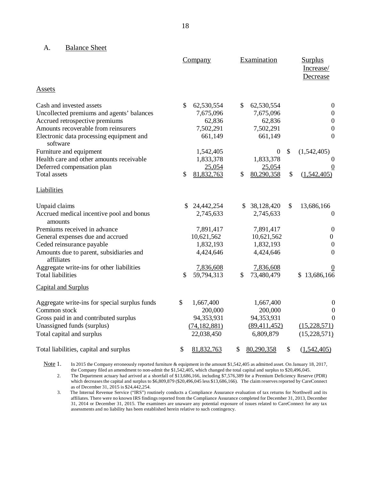#### A. Balance Sheet

|                                                       | Company          | Examination      | <b>Surplus</b><br>Increase/<br>Decrease |
|-------------------------------------------------------|------------------|------------------|-----------------------------------------|
| <b>Assets</b>                                         |                  |                  |                                         |
| Cash and invested assets                              | \$<br>62,530,554 | \$<br>62,530,554 | $\boldsymbol{0}$                        |
| Uncollected premiums and agents' balances             | 7,675,096        | 7,675,096        | $\boldsymbol{0}$                        |
| Accrued retrospective premiums                        | 62,836           | 62,836           | $\boldsymbol{0}$                        |
| Amounts recoverable from reinsurers                   | 7,502,291        | 7,502,291        | $\boldsymbol{0}$                        |
| Electronic data processing equipment and<br>software  | 661,149          | 661,149          | $\mathbf{0}$                            |
| Furniture and equipment                               | 1,542,405        | $\boldsymbol{0}$ | \$<br>(1,542,405)                       |
| Health care and other amounts receivable              | 1,833,378        | 1,833,378        | 0                                       |
| Deferred compensation plan                            | 25,054           | 25,054           |                                         |
| Total assets                                          | \$<br>81,832,763 | \$<br>80,290,358 | \$<br>(1,542,405)                       |
| <b>Liabilities</b>                                    |                  |                  |                                         |
| Unpaid claims                                         | \$<br>24,442,254 | \$<br>38,128,420 | \$<br>13,686,166                        |
| Accrued medical incentive pool and bonus<br>amounts   | 2,745,633        | 2,745,633        | $\boldsymbol{0}$                        |
| Premiums received in advance                          | 7,891,417        | 7,891,417        | $\boldsymbol{0}$                        |
| General expenses due and accrued                      | 10,621,562       | 10,621,562       | $\boldsymbol{0}$                        |
| Ceded reinsurance payable                             | 1,832,193        | 1,832,193        | $\boldsymbol{0}$                        |
| Amounts due to parent, subsidiaries and<br>affiliates | 4,424,646        | 4,424,646        | $\boldsymbol{0}$                        |
| Aggregate write-ins for other liabilities             | 7,836,608        | 7,836,608        |                                         |
| <b>Total liabilities</b>                              | 59,794,313<br>\$ | \$<br>73,480,479 | \$13,686,166                            |
| <b>Capital and Surplus</b>                            |                  |                  |                                         |
| Aggregate write-ins for special surplus funds         | \$<br>1,667,400  | 1,667,400        | $\boldsymbol{0}$                        |
| Common stock                                          | 200,000          | 200,000          | $\boldsymbol{0}$                        |
| Gross paid in and contributed surplus                 | 94,353,931       | 94,353,931       | $\overline{0}$                          |
| Unassigned funds (surplus)                            | (74, 182, 881)   | (89, 411, 452)   | (15, 228, 571)                          |
| Total capital and surplus                             | 22,038,450       | 6,809,879        | (15, 228, 571)                          |
| Total liabilities, capital and surplus                | \$<br>81,832,763 | \$<br>80,290,358 | \$<br>(1,542,405)                       |

Note 1. In 2015 the Company erroneously reported furniture & equipment in the amount \$1,542,405 as admitted asset. On January 18, 2017, the Company filed an amendment to non-admit the \$1,542,405, which changed the total capital and surplus to \$20,496,045.

2. The Department actuary had arrived at a shortfall of \$13,686,166, including \$7,576,389 for a Premium Deficiency Reserve (PDR) which decreases the capital and surplus to \$6,809,879 (\$20,496,045 less \$13,686,166). The claim reserves reported by CareConnect as of December 31, 2015 is \$24,442,254.

3. The Internal Revenue Service ("IRS") routinely conducts a Compliance Assurance evaluation of tax returns for Northwell and its affiliates. There were no known IRS findings reported from the Compliance Assurance completed for December 31, 2013, December 31, 2014 or December 31, 2015. The examiners are unaware any potential exposure of issues related to CareConnect for any tax assessments and no liability has been established herein relative to such contingency.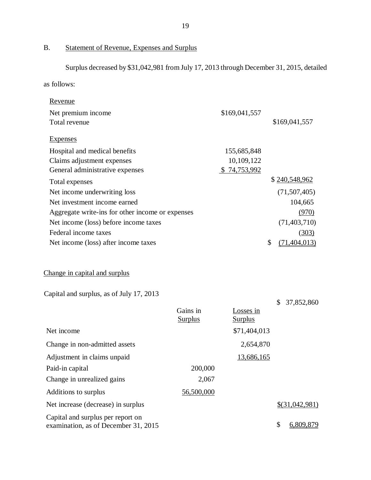# B. Statement of Revenue, Expenses and Surplus

Surplus decreased by \$31,042,981 from July 17, 2013 through December 31, 2015, detailed

as follows:

| <u>Revenue</u>                                                            |                            |                             |                      |
|---------------------------------------------------------------------------|----------------------------|-----------------------------|----------------------|
| Net premium income                                                        |                            | \$169,041,557               |                      |
| Total revenue                                                             |                            |                             | \$169,041,557        |
| <b>Expenses</b>                                                           |                            |                             |                      |
| Hospital and medical benefits                                             |                            | 155,685,848                 |                      |
| Claims adjustment expenses                                                |                            | 10,109,122                  |                      |
| General administrative expenses                                           |                            | \$74,753,992                |                      |
| Total expenses                                                            |                            |                             | \$240,548,962        |
| Net income underwriting loss                                              |                            |                             | (71, 507, 405)       |
| Net investment income earned                                              |                            |                             | 104,665              |
| Aggregate write-ins for other income or expenses                          |                            |                             | (970)                |
| Net income (loss) before income taxes                                     |                            |                             | (71, 403, 710)       |
| Federal income taxes                                                      |                            |                             | (303)                |
| Net income (loss) after income taxes                                      |                            |                             | \$<br>(71, 404, 013) |
| Change in capital and surplus<br>Capital and surplus, as of July 17, 2013 |                            |                             |                      |
|                                                                           |                            |                             | 37,852,860<br>\$     |
|                                                                           | Gains in<br><b>Surplus</b> | Losses in<br><b>Surplus</b> |                      |
| Net income                                                                |                            | \$71,404,013                |                      |
| Change in non-admitted assets                                             |                            | 2,654,870                   |                      |
| Adjustment in claims unpaid                                               |                            | 13,686,165                  |                      |
| Paid-in capital                                                           | 200,000                    |                             |                      |
| Change in unrealized gains                                                | 2,067                      |                             |                      |
| Additions to surplus                                                      | 56,500,000                 |                             |                      |
| Net increase (decrease) in surplus                                        |                            |                             | $$$ (31,042,981)     |
| Capital and surplus per report on                                         |                            |                             |                      |

Capital and surplus per report on examination, as of December 31, 2015  $\frac{1}{2}$   $\frac{6,809,879}{5,809,879}$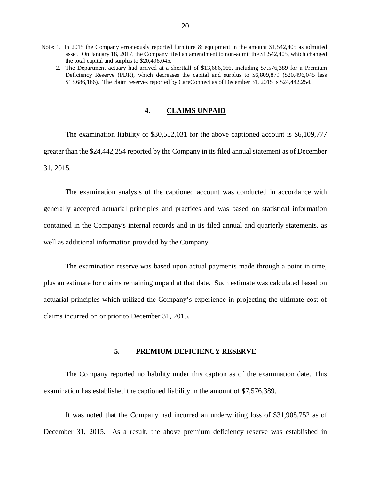- Note: 1. In 2015 the Company erroneously reported furniture & equipment in the amount \$1,542,405 as admitted asset. On January 18, 2017, the Company filed an amendment to non-admit the \$1,542,405, which changed the total capital and surplus to \$20,496,045.
	- 2. The Department actuary had arrived at a shortfall of \$13,686,166, including \$7,576,389 for a Premium Deficiency Reserve (PDR), which decreases the capital and surplus to \$6,809,879 (\$20,496,045 less \$13,686,166). The claim reserves reported by CareConnect as of December 31, 2015 is \$24,442,254.

#### **4. CLAIMS UNPAID**

The examination liability of \$30,552,031 for the above captioned account is \$6,109,777 greater than the \$24,442,254 reported by the Company in its filed annual statement as of December 31, 2015.

The examination analysis of the captioned account was conducted in accordance with generally accepted actuarial principles and practices and was based on statistical information contained in the Company's internal records and in its filed annual and quarterly statements, as well as additional information provided by the Company.

The examination reserve was based upon actual payments made through a point in time, plus an estimate for claims remaining unpaid at that date. Such estimate was calculated based on actuarial principles which utilized the Company's experience in projecting the ultimate cost of claims incurred on or prior to December 31, 2015.

## **5. PREMIUM DEFICIENCY RESERVE**

The Company reported no liability under this caption as of the examination date. This examination has established the captioned liability in the amount of \$7,576,389.

It was noted that the Company had incurred an underwriting loss of \$31,908,752 as of December 31, 2015. As a result, the above premium deficiency reserve was established in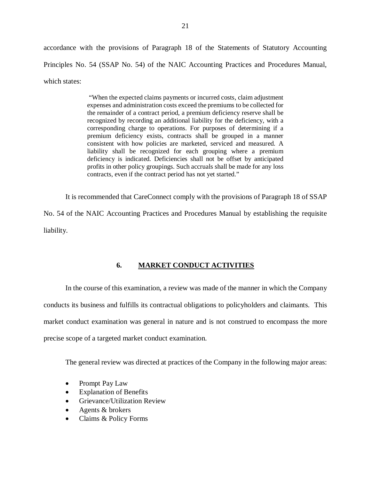accordance with the provisions of Paragraph 18 of the Statements of Statutory Accounting Principles No. 54 (SSAP No. 54) of the NAIC Accounting Practices and Procedures Manual, which states:

> "When the expected claims payments or incurred costs, claim adjustment expenses and administration costs exceed the premiums to be collected for the remainder of a contract period, a premium deficiency reserve shall be recognized by recording an additional liability for the deficiency, with a corresponding charge to operations. For purposes of determining if a premium deficiency exists, contracts shall be grouped in a manner consistent with how policies are marketed, serviced and measured. A liability shall be recognized for each grouping where a premium deficiency is indicated. Deficiencies shall not be offset by anticipated profits in other policy groupings. Such accruals shall be made for any loss contracts, even if the contract period has not yet started."

It is recommended that CareConnect comply with the provisions of Paragraph 18 of SSAP No. 54 of the NAIC Accounting Practices and Procedures Manual by establishing the requisite liability.

# **6. MARKET CONDUCT ACTIVITIES**

In the course of this examination, a review was made of the manner in which the Company conducts its business and fulfills its contractual obligations to policyholders and claimants. This market conduct examination was general in nature and is not construed to encompass the more precise scope of a targeted market conduct examination.

The general review was directed at practices of the Company in the following major areas:

- Prompt Pay Law
- Explanation of Benefits
- Grievance/Utilization Review
- Agents & brokers
- Claims & Policy Forms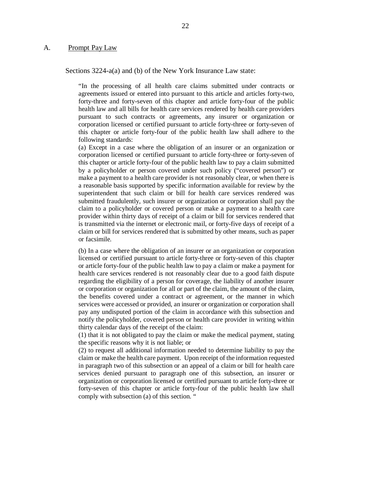#### A. Prompt Pay Law

Sections 3224-a(a) and (b) of the New York Insurance Law state:

"In the processing of all health care claims submitted under contracts or agreements issued or entered into pursuant to this article and articles forty-two, forty-three and forty-seven of this chapter and article forty-four of the public health law and all bills for health care services rendered by health care providers pursuant to such contracts or agreements, any insurer or organization or corporation licensed or certified pursuant to article forty-three or forty-seven of this chapter or article forty-four of the public health law shall adhere to the following standards:

(a) Except in a case where the obligation of an insurer or an organization or corporation licensed or certified pursuant to article forty-three or forty-seven of this chapter or article forty-four of the public health law to pay a claim submitted by a policyholder or person covered under such policy ("covered person") or make a payment to a health care provider is not reasonably clear, or when there is a reasonable basis supported by specific information available for review by the superintendent that such claim or bill for health care services rendered was submitted fraudulently, such insurer or organization or corporation shall pay the claim to a policyholder or covered person or make a payment to a health care provider within thirty days of receipt of a claim or bill for services rendered that is transmitted via the internet or electronic mail, or forty-five days of receipt of a claim or bill for services rendered that is submitted by other means, such as paper or facsimile.

(b) In a case where the obligation of an insurer or an organization or corporation licensed or certified pursuant to article forty-three or forty-seven of this chapter or article forty-four of the public health law to pay a claim or make a payment for health care services rendered is not reasonably clear due to a good faith dispute regarding the eligibility of a person for coverage, the liability of another insurer or corporation or organization for all or part of the claim, the amount of the claim, the benefits covered under a contract or agreement, or the manner in which services were accessed or provided, an insurer or organization or corporation shall pay any undisputed portion of the claim in accordance with this subsection and notify the policyholder, covered person or health care provider in writing within thirty calendar days of the receipt of the claim:

(1) that it is not obligated to pay the claim or make the medical payment, stating the specific reasons why it is not liable; or

(2) to request all additional information needed to determine liability to pay the claim or make the health care payment. Upon receipt of the information requested in paragraph two of this subsection or an appeal of a claim or bill for health care services denied pursuant to paragraph one of this subsection, an insurer or organization or corporation licensed or certified pursuant to article forty-three or forty-seven of this chapter or article forty-four of the public health law shall comply with subsection (a) of this section. "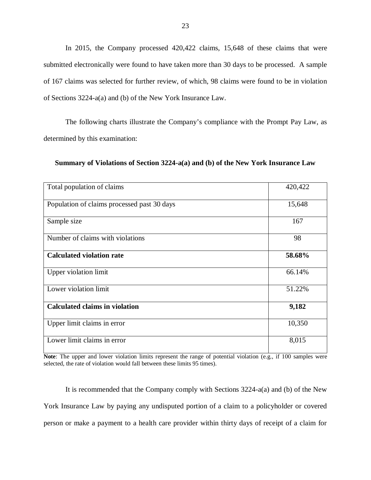In 2015, the Company processed 420,422 claims, 15,648 of these claims that were submitted electronically were found to have taken more than 30 days to be processed. A sample of 167 claims was selected for further review, of which, 98 claims were found to be in violation of Sections 3224-a(a) and (b) of the New York Insurance Law.

The following charts illustrate the Company's compliance with the Prompt Pay Law, as determined by this examination:

| Total population of claims                  | 420,422 |
|---------------------------------------------|---------|
| Population of claims processed past 30 days | 15,648  |
| Sample size                                 | 167     |
| Number of claims with violations            | 98      |
| <b>Calculated violation rate</b>            | 58.68%  |
| <b>Upper violation limit</b>                | 66.14%  |
| Lower violation limit                       | 51.22%  |
| <b>Calculated claims in violation</b>       | 9,182   |
| Upper limit claims in error                 | 10,350  |
| Lower limit claims in error                 | 8,015   |

**Summary of Violations of Section 3224-a(a) and (b) of the New York Insurance Law**

**Note**: The upper and lower violation limits represent the range of potential violation (e.g., if 100 samples were selected, the rate of violation would fall between these limits 95 times).

It is recommended that the Company comply with Sections 3224-a(a) and (b) of the New York Insurance Law by paying any undisputed portion of a claim to a policyholder or covered person or make a payment to a health care provider within thirty days of receipt of a claim for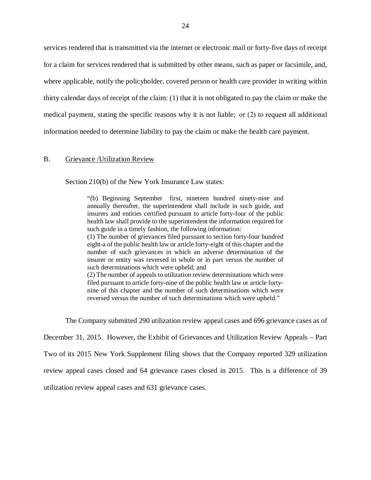services rendered that is transmitted via the internet or electronic mail or forty-five days of receipt for a claim for services rendered that is submitted by other means, such as paper or facsimile, and, where applicable, notify the policyholder, covered person or health care provider in writing within thirty calendar days of receipt of the claim: (1) that it is not obligated to pay the claim or make the medical payment, stating the specific reasons why it is not liable;  or (2) to request all additional information needed to determine liability to pay the claim or make the health care payment.

#### B. Grievance /Utilization Review

Section 210(b) of the New York Insurance Law states:

"(b) Beginning September first, nineteen hundred ninety-nine and annually thereafter, the superintendent shall include in such guide, and insurers and entities certified pursuant to article forty-four of the public health law shall provide to the superintendent the information required for such guide in a timely fashion, the following information:

(1) The number of grievances filed pursuant to section forty-four hundred eight-a of the public health law or article forty-eight of this chapter and the number of such grievances in which an adverse determination of the insurer or entity was reversed in whole or in part versus the number of such determinations which were upheld; and

(2) The number of appeals to utilization review determinations which were filed pursuant to article forty-nine of the public health law or article fortynine of this chapter and the number of such determinations which were reversed versus the number of such determinations which were upheld."

The Company submitted 290 utilization review appeal cases and 696 grievance cases as of

December 31, 2015. However, the Exhibit of Grievances and Utilization Review Appeals – Part

Two of its 2015 New York Supplement filing shows that the Company reported 329 utilization

review appeal cases closed and 64 grievance cases closed in 2015. This is a difference of 39

utilization review appeal cases and 631 grievance cases.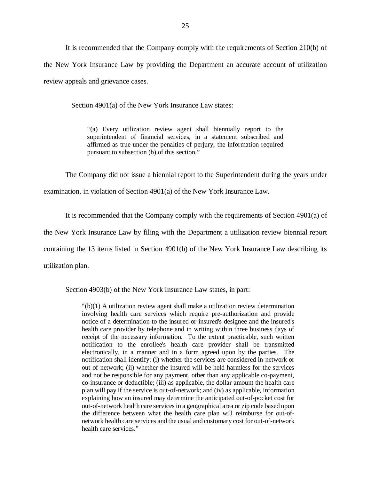It is recommended that the Company comply with the requirements of Section 210(b) of the New York Insurance Law by providing the Department an accurate account of utilization review appeals and grievance cases.

Section 4901(a) of the New York Insurance Law states:

"(a) Every utilization review agent shall biennially report to the superintendent of financial services, in a statement subscribed and affirmed as true under the penalties of perjury, the information required pursuant to subsection (b) of this section."

The Company did not issue a biennial report to the Superintendent during the years under

examination, in violation of Section 4901(a) of the New York Insurance Law.

It is recommended that the Company comply with the requirements of Section 4901(a) of

the New York Insurance Law by filing with the Department a utilization review biennial report

containing the 13 items listed in Section 4901(b) of the New York Insurance Law describing its

utilization plan.

Section 4903(b) of the New York Insurance Law states, in part:

"(b)(1) A utilization review agent shall make a utilization review determination involving health care services which require pre-authorization and provide notice of a determination to the insured or insured's designee and the insured's health care provider by telephone and in writing within three business days of receipt of the necessary information. To the extent practicable, such written notification to the enrollee's health care provider shall be transmitted electronically, in a manner and in a form agreed upon by the parties. The notification shall identify: (i) whether the services are considered in-network or out-of-network; (ii) whether the insured will be held harmless for the services and not be responsible for any payment, other than any applicable co-payment, co-insurance or deductible; (iii) as applicable, the dollar amount the health care plan will pay if the service is out-of-network; and (iv) as applicable, information explaining how an insured may determine the anticipated out-of-pocket cost for out-of-network health care services in a geographical area or zip code based upon the difference between what the health care plan will reimburse for out-ofnetwork health care services and the usual and customary cost for out-of-network health care services."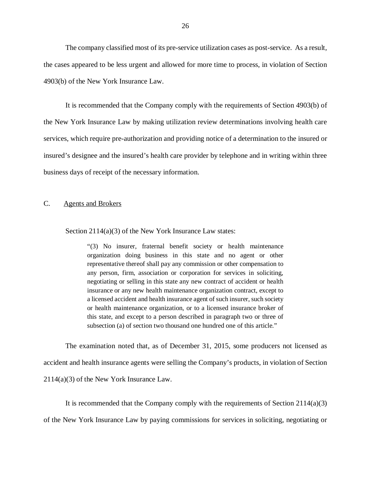The company classified most of its pre-service utilization cases as post-service. As a result, the cases appeared to be less urgent and allowed for more time to process, in violation of Section 4903(b) of the New York Insurance Law.

It is recommended that the Company comply with the requirements of Section 4903(b) of the New York Insurance Law by making utilization review determinations involving health care services, which require pre-authorization and providing notice of a determination to the insured or insured's designee and the insured's health care provider by telephone and in writing within three business days of receipt of the necessary information.

#### C. Agents and Brokers

#### Section 2114(a)(3) of the New York Insurance Law states:

"(3) No insurer, fraternal benefit society or health maintenance organization doing business in this state and no agent or other representative thereof shall pay any commission or other compensation to any person, firm, association or corporation for services in soliciting, negotiating or selling in this state any new contract of accident or health insurance or any new health maintenance organization contract, except to a licensed accident and health insurance agent of such insurer, such society or health maintenance organization, or to a licensed insurance broker of this state, and except to a person described in paragraph two or three of subsection (a) of section two thousand one hundred one of this article."

The examination noted that, as of December 31, 2015, some producers not licensed as accident and health insurance agents were selling the Company's products, in violation of Section 2114(a)(3) of the New York Insurance Law.

It is recommended that the Company comply with the requirements of Section 2114(a)(3) of the New York Insurance Law by paying commissions for services in soliciting, negotiating or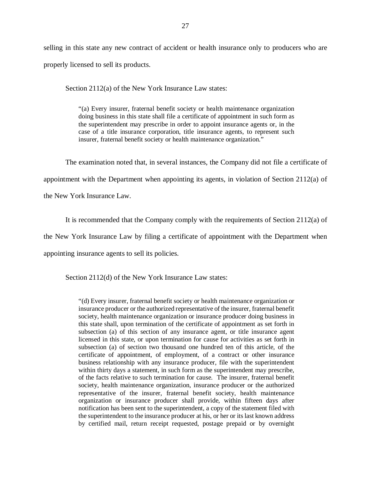selling in this state any new contract of accident or health insurance only to producers who are properly licensed to sell its products.

Section 2112(a) of the New York Insurance Law states:

"(a) Every insurer, fraternal benefit society or health maintenance organization doing business in this state shall file a certificate of appointment in such form as the superintendent may prescribe in order to appoint insurance agents or, in the case of a title insurance corporation, title insurance agents, to represent such insurer, fraternal benefit society or health maintenance organization."

The examination noted that, in several instances, the Company did not file a certificate of

appointment with the Department when appointing its agents, in violation of Section 2112(a) of

the New York Insurance Law.

It is recommended that the Company comply with the requirements of Section 2112(a) of

the New York Insurance Law by filing a certificate of appointment with the Department when

appointing insurance agents to sell its policies.

Section 2112(d) of the New York Insurance Law states:

"(d) Every insurer, fraternal benefit society or health maintenance organization or insurance producer or the authorized representative of the insurer, fraternal benefit society, health maintenance organization or insurance producer doing business in this state shall, upon termination of the certificate of appointment as set forth in subsection (a) of this section of any insurance agent, or title insurance agent licensed in this state, or upon termination for cause for activities as set forth in subsection (a) of section two thousand one hundred ten of this article, of the certificate of appointment, of employment, of a contract or other insurance business relationship with any insurance producer, file with the superintendent within thirty days a statement, in such form as the superintendent may prescribe, of the facts relative to such termination for cause. The insurer, fraternal benefit society, health maintenance organization, insurance producer or the authorized representative of the insurer, fraternal benefit society, health maintenance organization or insurance producer shall provide, within fifteen days after notification has been sent to the superintendent, a copy of the statement filed with the superintendent to the insurance producer at his, or her or its last known address by certified mail, return receipt requested, postage prepaid or by overnight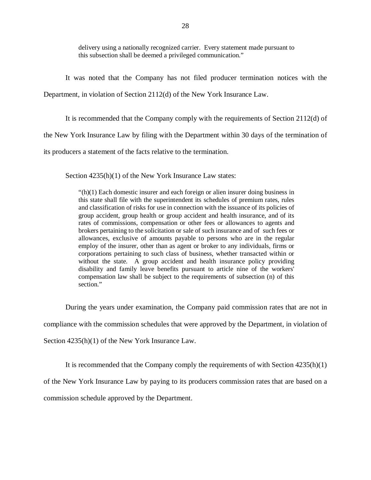delivery using a nationally recognized carrier. Every statement made pursuant to this subsection shall be deemed a privileged communication."

It was noted that the Company has not filed producer termination notices with the Department, in violation of Section 2112(d) of the New York Insurance Law.

It is recommended that the Company comply with the requirements of Section 2112(d) of

the New York Insurance Law by filing with the Department within 30 days of the termination of

its producers a statement of the facts relative to the termination.

Section  $4235(h)(1)$  of the New York Insurance Law states:

"(h)(1) Each domestic insurer and each foreign or alien insurer doing business in this state shall file with the superintendent its schedules of premium rates, rules and classification of risks for use in connection with the issuance of its policies of group accident, group health or group accident and health insurance, and of its rates of commissions, compensation or other fees or allowances to agents and brokers pertaining to the solicitation or sale of such insurance and of such fees or allowances, exclusive of amounts payable to persons who are in the regular employ of the insurer, other than as agent or broker to any individuals, firms or corporations pertaining to such class of business, whether transacted within or without the state. A group accident and health insurance policy providing disability and family leave benefits pursuant to article nine of the workers' compensation law shall be subject to the requirements of subsection (n) of this section."

During the years under examination, the Company paid commission rates that are not in compliance with the commission schedules that were approved by the Department, in violation of Section 4235(h)(1) of the New York Insurance Law.

It is recommended that the Company comply the requirements of with Section 4235(h)(1)

of the New York Insurance Law by paying to its producers commission rates that are based on a

commission schedule approved by the Department.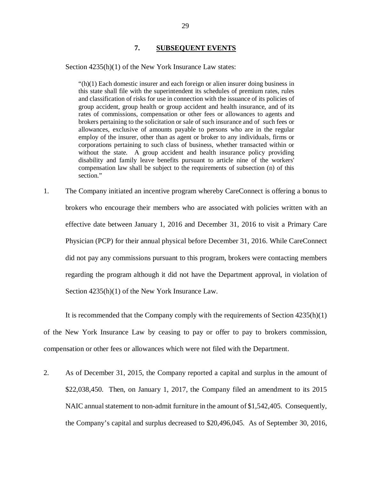## **7. SUBSEQUENT EVENTS**

Section  $4235(h)(1)$  of the New York Insurance Law states:

"(h)(1) Each domestic insurer and each foreign or alien insurer doing business in this state shall file with the superintendent its schedules of premium rates, rules and classification of risks for use in connection with the issuance of its policies of group accident, group health or group accident and health insurance, and of its rates of commissions, compensation or other fees or allowances to agents and brokers pertaining to the solicitation or sale of such insurance and of such fees or allowances, exclusive of amounts payable to persons who are in the regular employ of the insurer, other than as agent or broker to any individuals, firms or corporations pertaining to such class of business, whether transacted within or without the state. A group accident and health insurance policy providing disability and family leave benefits pursuant to article nine of the workers' compensation law shall be subject to the requirements of subsection (n) of this section."

1. The Company initiated an incentive program whereby CareConnect is offering a bonus to brokers who encourage their members who are associated with policies written with an effective date between January 1, 2016 and December 31, 2016 to visit a Primary Care Physician (PCP) for their annual physical before December 31, 2016. While CareConnect did not pay any commissions pursuant to this program, brokers were contacting members regarding the program although it did not have the Department approval, in violation of Section 4235(h)(1) of the New York Insurance Law.

It is recommended that the Company comply with the requirements of Section 4235(h)(1) of the New York Insurance Law by ceasing to pay or offer to pay to brokers commission, compensation or other fees or allowances which were not filed with the Department.

2. As of December 31, 2015, the Company reported a capital and surplus in the amount of \$22,038,450. Then, on January 1, 2017, the Company filed an amendment to its 2015 NAIC annual statement to non-admit furniture in the amount of \$1,542,405. Consequently, the Company's capital and surplus decreased to \$20,496,045. As of September 30, 2016,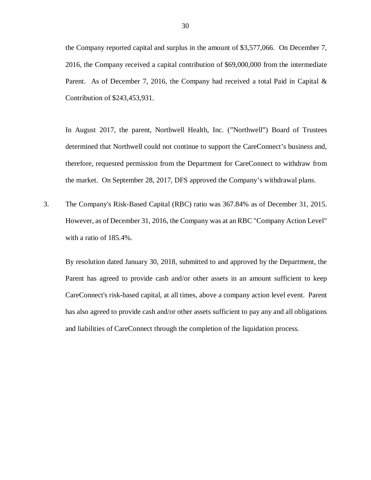the Company reported capital and surplus in the amount of \$3,577,066. On December 7, 2016, the Company received a capital contribution of \$69,000,000 from the intermediate Parent. As of December 7, 2016, the Company had received a total Paid in Capital  $\&$ Contribution of \$243,453,931.

In August 2017, the parent, Northwell Health, Inc. ("Northwell") Board of Trustees determined that Northwell could not continue to support the CareConnect's business and, therefore, requested permission from the Department for CareConnect to withdraw from the market. On September 28, 2017, DFS approved the Company's withdrawal plans.

3. The Company's Risk-Based Capital (RBC) ratio was 367.84% as of December 31, 2015. However, as of December 31, 2016, the Company was at an RBC "Company Action Level" with a ratio of 185.4%.

By resolution dated January 30, 2018, submitted to and approved by the Department, the Parent has agreed to provide cash and/or other assets in an amount sufficient to keep CareConnect's risk-based capital, at all times, above a company action level event. Parent has also agreed to provide cash and/or other assets sufficient to pay any and all obligations and liabilities of CareConnect through the completion of the liquidation process.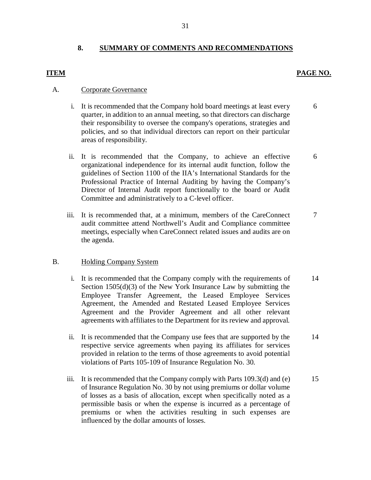# **8. SUMMARY OF COMMENTS AND RECOMMENDATIONS**

## **ITEM PAGE NO.**

## A. Corporate Governance

- i. It is recommended that the Company hold board meetings at least every quarter, in addition to an annual meeting, so that directors can discharge their responsibility to oversee the company's operations, strategies and policies, and so that individual directors can report on their particular areas of responsibility. 6
- ii. It is recommended that the Company, to achieve an effective organizational independence for its internal audit function, follow the guidelines of Section 1100 of the IIA's International Standards for the Professional Practice of Internal Auditing by having the Company's Director of Internal Audit report functionally to the board or Audit Committee and administratively to a C-level officer. 6
- iii. It is recommended that, at a minimum, members of the CareConnect audit committee attend Northwell's Audit and Compliance committee meetings, especially when CareConnect related issues and audits are on the agenda. 7

# B. Holding Company System

- i. It is recommended that the Company comply with the requirements of Section 1505(d)(3) of the New York Insurance Law by submitting the Employee Transfer Agreement, the Leased Employee Services Agreement, the Amended and Restated Leased Employee Services Agreement and the Provider Agreement and all other relevant agreements with affiliates to the Department for its review and approval. 14
- ii. It is recommended that the Company use fees that are supported by the respective service agreements when paying its affiliates for services provided in relation to the terms of those agreements to avoid potential violations of Parts 105-109 of Insurance Regulation No. 30. 14
- iii. It is recommended that the Company comply with Parts  $109.3(d)$  and (e) of Insurance Regulation No. 30 by not using premiums or dollar volume of losses as a basis of allocation, except when specifically noted as a permissible basis or when the expense is incurred as a percentage of premiums or when the activities resulting in such expenses are influenced by the dollar amounts of losses. 15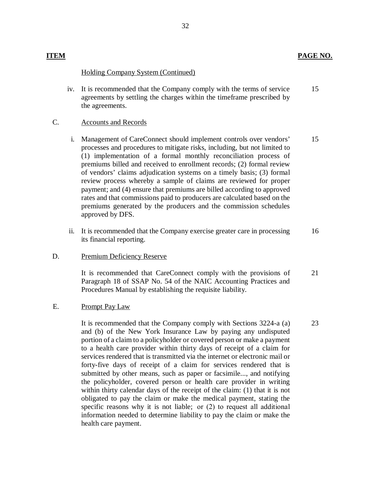23

# Holding Company System (Continued)

iv. It is recommended that the Company comply with the terms of service agreements by settling the charges within the timeframe prescribed by the agreements. 15

# C. Accounts and Records

- i. Management of CareConnect should implement controls over vendors' processes and procedures to mitigate risks, including, but not limited to (1) implementation of a formal monthly reconciliation process of premiums billed and received to enrollment records; (2) formal review of vendors' claims adjudication systems on a timely basis; (3) formal review process whereby a sample of claims are reviewed for proper payment; and (4) ensure that premiums are billed according to approved rates and that commissions paid to producers are calculated based on the premiums generated by the producers and the commission schedules approved by DFS. 15
- ii. It is recommended that the Company exercise greater care in processing its financial reporting. 16

# D. Premium Deficiency Reserve

It is recommended that CareConnect comply with the provisions of Paragraph 18 of SSAP No. 54 of the NAIC Accounting Practices and Procedures Manual by establishing the requisite liability. 21

# E. Prompt Pay Law

It is recommended that the Company comply with Sections 3224-a (a) and (b) of the New York Insurance Law by paying any undisputed portion of a claim to a policyholder or covered person or make a payment to a health care provider within thirty days of receipt of a claim for services rendered that is transmitted via the internet or electronic mail or forty-five days of receipt of a claim for services rendered that is submitted by other means, such as paper or facsimile..., and notifying the policyholder, covered person or health care provider in writing within thirty calendar days of the receipt of the claim: (1) that it is not obligated to pay the claim or make the medical payment, stating the specific reasons why it is not liable; or (2) to request all additional information needed to determine liability to pay the claim or make the health care payment.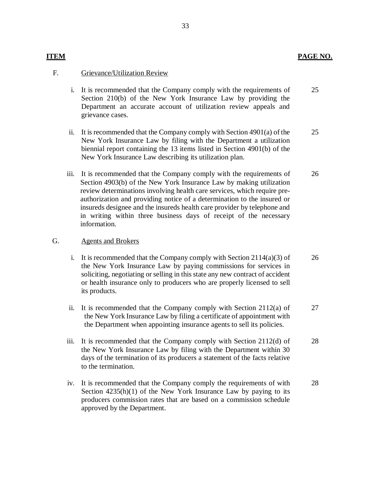# **ITEM PAGE NO.**

## F. Grievance/Utilization Review

- i. It is recommended that the Company comply with the requirements of Section 210(b) of the New York Insurance Law by providing the Department an accurate account of utilization review appeals and grievance cases. 25
- ii. It is recommended that the Company comply with Section 4901(a) of the New York Insurance Law by filing with the Department a utilization biennial report containing the 13 items listed in Section 4901(b) of the New York Insurance Law describing its utilization plan. 25
- iii. It is recommended that the Company comply with the requirements of Section 4903(b) of the New York Insurance Law by making utilization review determinations involving health care services, which require preauthorization and providing notice of a determination to the insured or insureds designee and the insureds health care provider by telephone and in writing within three business days of receipt of the necessary information. 26

### G. Agents and Brokers

- i. It is recommended that the Company comply with Section  $2114(a)(3)$  of the New York Insurance Law by paying commissions for services in soliciting, negotiating or selling in this state any new contract of accident or health insurance only to producers who are properly licensed to sell its products. 26
- ii. It is recommended that the Company comply with Section 2112(a) of the New York Insurance Law by filing a certificate of appointment with the Department when appointing insurance agents to sell its policies. 27
- iii. It is recommended that the Company comply with Section 2112(d) of the New York Insurance Law by filing with the Department within 30 days of the termination of its producers a statement of the facts relative to the termination. 28
- iv. It is recommended that the Company comply the requirements of with Section  $4235(h)(1)$  of the New York Insurance Law by paying to its producers commission rates that are based on a commission schedule approved by the Department. 28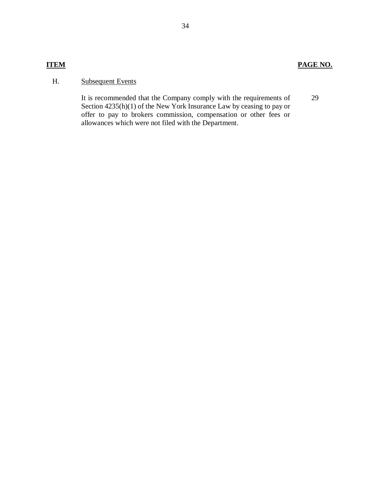# **ITEM PAGE NO.**

# H. Subsequent Events

It is recommended that the Company comply with the requirements of Section 4235(h)(1) of the New York Insurance Law by ceasing to pay or offer to pay to brokers commission, compensation or other fees or allowances which were not filed with the Department.

29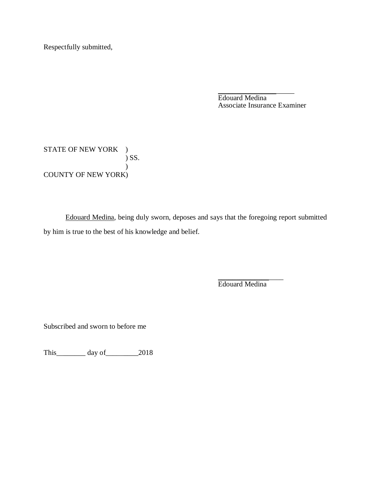Respectfully submitted,

\_\_\_\_\_\_\_\_\_\_\_\_\_\_\_\_\_\_\_\_\_ Edouard Medina Associate Insurance Examiner

STATE OF NEW YORK ) ) SS.  $\hspace{0.6cm}$ ) COUNTY OF NEW YORK)

Edouard Medina, being duly sworn, deposes and says that the foregoing report submitted by him is true to the best of his knowledge and belief.

> \_\_\_\_\_\_\_\_\_\_\_\_\_\_\_\_\_\_ Edouard Medina

Subscribed and sworn to before me

This\_\_\_\_\_\_\_\_ day of\_\_\_\_\_\_\_\_\_2018